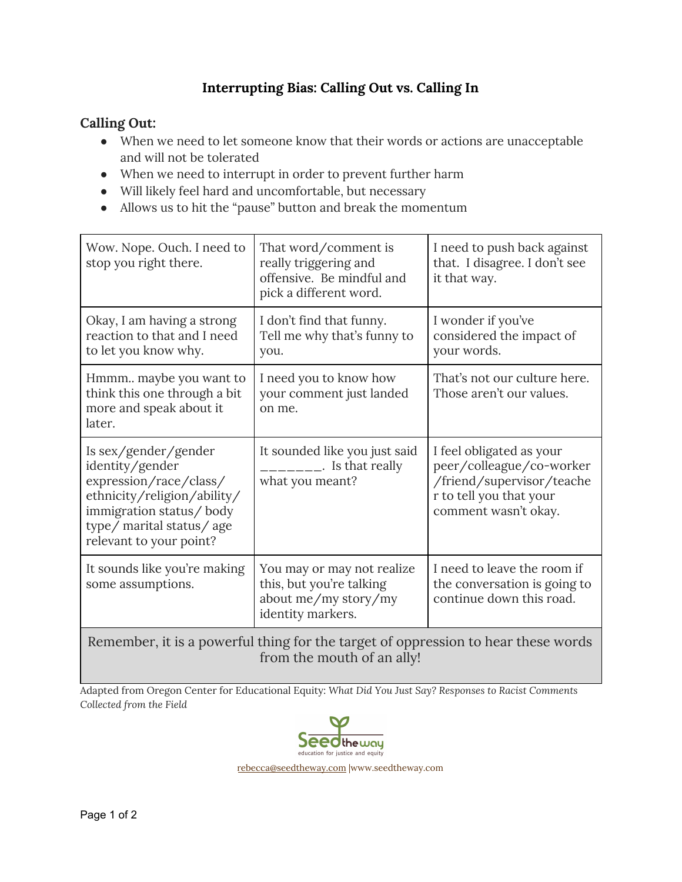## **Interrupting Bias: Calling Out vs. Calling In**

## **Calling Out:**

- When we need to let someone know that their words or actions are unacceptable and will not be tolerated
- When we need to interrupt in order to prevent further harm
- Will likely feel hard and uncomfortable, but necessary
- Allows us to hit the "pause" button and break the momentum

| Wow. Nope. Ouch. I need to<br>stop you right there.                                                                                                                                | That word/comment is<br>really triggering and<br>offensive. Be mindful and<br>pick a different word. | I need to push back against<br>that. I disagree. I don't see<br>it that way.                                                         |
|------------------------------------------------------------------------------------------------------------------------------------------------------------------------------------|------------------------------------------------------------------------------------------------------|--------------------------------------------------------------------------------------------------------------------------------------|
| Okay, I am having a strong<br>reaction to that and I need<br>to let you know why.                                                                                                  | I don't find that funny.<br>Tell me why that's funny to<br>you.                                      | I wonder if you've<br>considered the impact of<br>your words.                                                                        |
| Hmmm maybe you want to<br>think this one through a bit<br>more and speak about it<br>later.                                                                                        | I need you to know how<br>your comment just landed<br>on me.                                         | That's not our culture here.<br>Those aren't our values.                                                                             |
| Is sex/gender/gender<br>identity/gender<br>expression/race/class/<br>ethnicity/religion/ability/<br>immigration status/body<br>type/ marital status/age<br>relevant to your point? | It sounded like you just said<br>$\frac{1}{1}$ . Is that really<br>what you meant?                   | I feel obligated as your<br>peer/colleague/co-worker<br>/friend/supervisor/teache<br>r to tell you that your<br>comment wasn't okay. |
| It sounds like you're making<br>some assumptions.                                                                                                                                  | You may or may not realize<br>this, but you're talking<br>about me/my story/my<br>identity markers.  | I need to leave the room if<br>the conversation is going to<br>continue down this road.                                              |

Remember, it is a powerful thing for the target of oppression to hear these words from the mouth of an ally!

Adapted from Oregon Center for Educational Equity: *What Did You Just Say? Responses to Racist Comments Collected from the Field*



[rebecca@seedtheway.com](mailto:rebecca@seedtheway.com) |www.seedtheway.com